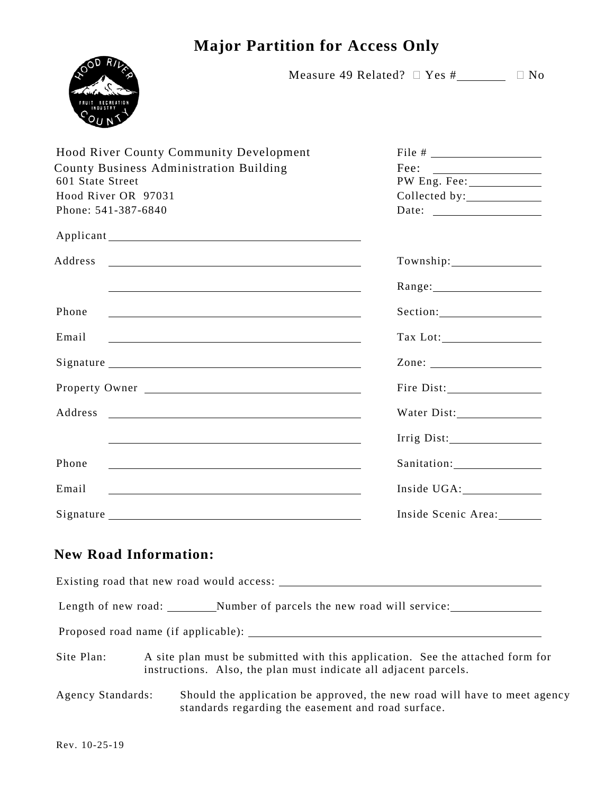## **Major Partition for Access Only**



Measure 49 Related?  $\Box$  Yes # $\Box$   $\Box$  No

| <b>Hood River County Community Development</b><br>County Business Administration Building<br>601 State Street<br>Hood River OR 97031<br>Phone: 541-387-6840 | Date: $\qquad \qquad$    |
|-------------------------------------------------------------------------------------------------------------------------------------------------------------|--------------------------|
|                                                                                                                                                             |                          |
| Address<br><u> 1989 - Johann Stein, markin fan de Amerikaansk kommunister (</u>                                                                             |                          |
|                                                                                                                                                             | Range: 1990 Manager 2014 |
| Phone<br><u> 1989 - Johann Stoff, amerikansk politiker (d. 1989)</u>                                                                                        |                          |
| Email<br><u> 1989 - Andrea Stadt Britain, amerikansk politiker (</u>                                                                                        |                          |
|                                                                                                                                                             | Zone: $\qquad \qquad$    |
| Property Owner                                                                                                                                              |                          |
| Address<br><u> 1989 - Johann John Stein, markin fan it ferstjer fan de ferstjer fan it ferstjer fan it ferstjer fan it fers</u>                             | Water Dist:              |
|                                                                                                                                                             | Irrig Dist:              |
| Phone                                                                                                                                                       | Sanitation: 1997         |
| Email                                                                                                                                                       |                          |
|                                                                                                                                                             | Inside Scenic Area:      |

## **New Road Information:**

Existing road that new road would access: Length of new road: Number of parcels the new road will service: Proposed road name (if applicable): Site Plan: A site plan must be submitted with this application. See the attached form for instructions. Also, the plan must indicate all adjacent parcels. Agency Standards: Should the application be approved, the new road will have to meet agency standards regarding the easement and road surface.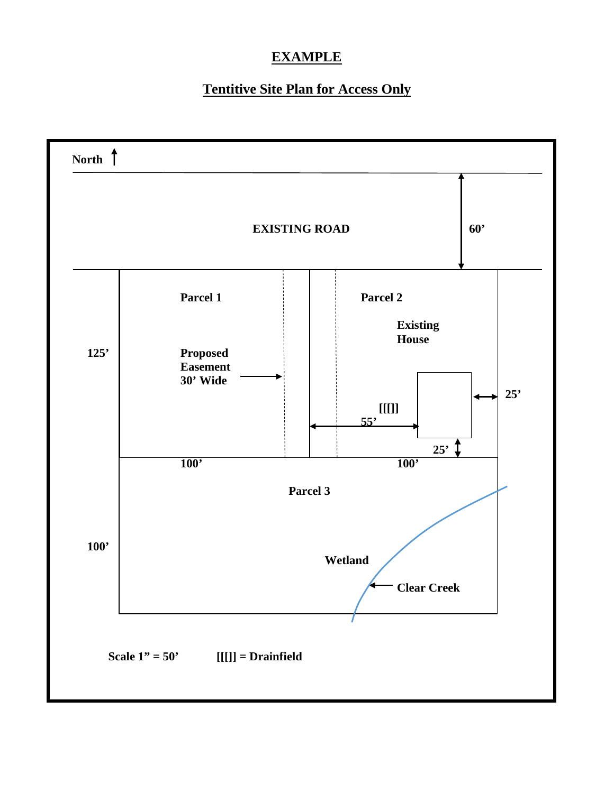## **EXAMPLE**

## **Tentitive Site Plan for Access Only**